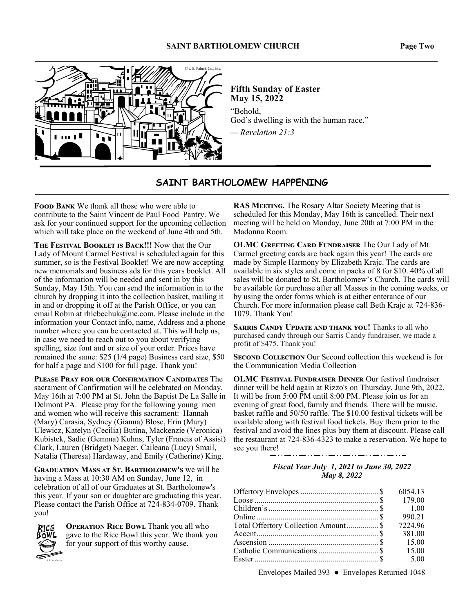#### **SAINT BARTHOLOMEW CHURCH Page Two**



**Fifth Sunday of Easter May 15, 2022**  "Behold, God's dwelling is with the human race." *— Revelation 21:3*

# **SAINT BARTHOLOMEW HAPPENING**

**FOOD BANK** We thank all those who were able to contribute to the Saint Vincent de Paul Food Pantry. We ask for your continued support for the upcoming collection which will take place on the weekend of June 4th and 5th.

**THE FESTIVAL BOOKLET IS BACK!!!** Now that the Our Lady of Mount Carmel Festival is scheduled again for this summer, so is the Festival Booklet! We are now accepting new memorials and business ads for this years booklet. All of the information will be needed and sent in by this Sunday, May 15th. You can send the information in to the church by dropping it into the collection basket, mailing it in and or dropping it off at the Parish Office, or you can email Robin at rhlebechuk@me.com. Please include in the information your Contact info, name, Address and a phone number where you can be contacted at. This will help us, in case we need to reach out to you about verifying spelling, size font and or size of your order. Prices have remained the same: \$25 (1/4 page) Business card size, \$50 for half a page and \$100 for full page. Thank you!

PLEASE PRAY FOR OUR CONFIRMATION CANDIDATES The sacrament of Confirmation will be celebrated on Monday, May 16th at 7:00 PM at St. John the Baptist De La Salle in Delmont PA. Please pray for the following young men and women who will receive this sacrament: Hannah (Mary) Carasia, Sydney (Gianna) Blose, Erin (Mary) Ulewicz, Katelyn (Cecilia) Butina, Mackenzie (Veronica) Kubistek, Sadie (Gemma) Kuhns, Tyler (Francis of Assisi) Clark, Lauren (Bridget) Naeger, Caileana (Lucy) Smail, Natalia (Theresa) Hardaway, and Emily (Catherine) King.

**GRADUATION MASS AT ST. BARTHOLOMEW'S WE WIll be** having a Mass at 10:30 AM on Sunday, June 12, in celebration of all of our Graduates at St. Bartholomew's this year. If your son or daughter are graduating this year. Please contact the Parish Office at 724-834-0709. Thank you!



**OPERATION RICE BOWL Thank you all who** gave to the Rice Bowl this year. We thank you for your support of this worthy cause.

**RAS MEETING.** The Rosary Altar Society Meeting that is scheduled for this Monday, May 16th is cancelled. Their next meeting will be held on Monday, June 20th at 7:00 PM in the Madonna Room.

**OLMC GREETING CARD FUNDRAISER The Our Lady of Mt.** Carmel greeting cards are back again this year! The cards are made by Simple Harmony by Elizabeth Krajc. The cards are available in six styles and come in packs of 8 for \$10. 40% of all sales will be donated to St. Bartholomew's Church. The cards will be available for purchase after all Masses in the coming weeks, or by using the order forms which is at either enterance of our Church. For more information please call Beth Krajc at 724-836- 1079. Thank You!

SARRIS CANDY UPDATE AND THANK YOU! Thanks to all who purchased candy through our Sarris Candy fundraiser, we made a profit of \$475. Thank you!

**SECOND COLLECTION** Our Second collection this weekend is for the Communication Media Collection

**OLMC FESTIVAL FUNDRAISER DINNER Our festival fundraiser** dinner will be held again at Rizzo's on Thursday, June 9th, 2022. It will be from 5:00 PM until 8:00 PM. Please join us for an evening of great food, family and friends. There will be music, basket raffle and 50/50 raffle. The \$10.00 festival tickets will be available along with festival food tickets. Buy them prior to the festival and avoid the lines plus buy them at discount. Please call the restaurant at 724-836-4323 to make a reservation. We hope to see you there!

\_ . . \_ \_ . . \_ \_ . . \_ \_ . . \_ \_ . . \_

#### *Fiscal Year July 1, 2021 to June 30, 2022 May 8, 2022*

|                                      | 6054.13 |
|--------------------------------------|---------|
|                                      | 179.00  |
|                                      |         |
|                                      | 990.21  |
| Total Offertory Collection Amount \$ | 7224.96 |
|                                      | 381.00  |
|                                      | 15.00   |
|                                      | 15.00   |
|                                      | 5.00    |

Envelopes Mailed 393 ● Envelopes Returned 1048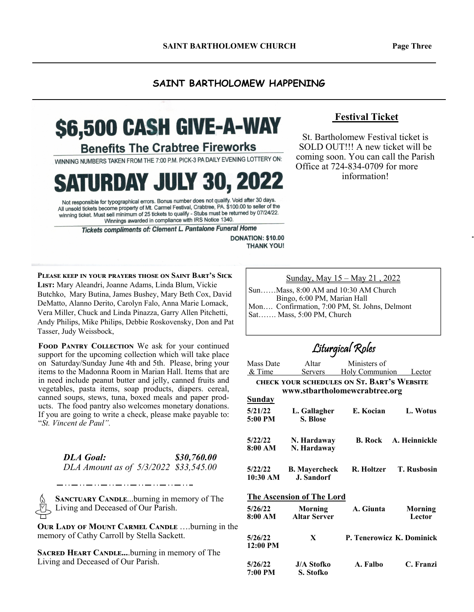#### **SAINT BARTHOLOMEW HAPPENING**

# \$6,500 CASH GIVE-A-WAY

**Benefits The Crabtree Fireworks** 

WINNING NUMBERS TAKEN FROM THE 7:00 P.M. PICK-3 PA DAILY EVENING LOTTERY ON:

**SATURDAY JULY 30, 2022** 

Not responsible for typographical errors. Bonus number does not qualify. Void after 30 days. All unsold tickets become property of Mt. Carmel Festival, Crabtree, PA. \$100.00 to seller of the winning ticket. Must sell minimum of 25 tickets to qualify - Stubs must be returned by 07/24/22. Winnings awarded in compliance with IRS Notice 1340.

Tickets compliments of: Clement L. Pantalone Funeral Home

**DONATION: \$10.00 THANK YOU!** 

**PLEASE KEEP IN YOUR PRAYERS THOSE ON SAINT BART'S SICK** LIST: Mary Aleandri, Joanne Adams, Linda Blum, Vickie Butchko, Mary Butina, James Bushey, Mary Beth Cox, David DeMatto, Alanno Derito, Carolyn Falo, Anna Marie Lomack, Vera Miller, Chuck and Linda Pinazza, Garry Allen Pitchetti, Andy Philips, Mike Philips, Debbie Roskovensky, Don and Pat Tasser, Judy Weissbock,

FOOD PANTRY COLLECTION We ask for your continued support for the upcoming collection which will take place on Saturday/Sunday June 4th and 5th. Please, bring your items to the Madonna Room in Marian Hall. Items that are in need include peanut butter and jelly, canned fruits and vegetables, pasta items, soap products, diapers. cereal, canned soups, stews, tuna, boxed meals and paper products. The food pantry also welcomes monetary donations. If you are going to write a check, please make payable to: "*St. Vincent de Paul".* 

| <b>DLA Goal:</b>                      | \$30,760.00 |
|---------------------------------------|-------------|
| DLA Amount as of 5/3/2022 \$33,545.00 |             |

**SANCTUARY CANDLE...burning in memory of The** Living and Deceased of Our Parish.

**OUR LADY OF MOUNT CARMEL CANDLE ....burning in the** memory of Cathy Carroll by Stella Sackett.

**SACRED HEART CANDLE....burning in memory of The** Living and Deceased of Our Parish.

# **Festival Ticket**

St. Bartholomew Festival ticket is SOLD OUT!!! A new ticket will be coming soon. You can call the Parish Office at 724-834-0709 for more information!

Sunday, May 15 – May 21 , 2022

Sun……Mass, 8:00 AM and 10:30 AM Church Bingo, 6:00 PM, Marian Hall Mon…. Confirmation, 7:00 PM, St. Johns, Delmont Sat……. Mass, 5:00 PM, Church

Liturgical Roles

| Mass Date     | Altar                                      | Ministers of              |                    |  |
|---------------|--------------------------------------------|---------------------------|--------------------|--|
| & Time        | Servers                                    | Holy Communion Lector     |                    |  |
|               | CHECK YOUR SCHEDULES ON ST. BART'S WEBSITE |                           |                    |  |
|               | www.stbartholomewcrabtree.org              |                           |                    |  |
| <u>Sunday</u> |                                            |                           |                    |  |
| 5/21/22       | L. Gallagher                               | E. Kocian                 | L. Wotus           |  |
| 5:00 PM       | S. Blose                                   |                           |                    |  |
|               |                                            |                           |                    |  |
|               | 5/22/22 N. Hardaway                        | <b>B.</b> Rock            | A. Heinnickle      |  |
| 8:00 AM       | N. Hardaway                                |                           |                    |  |
|               |                                            |                           |                    |  |
| 5/22/22       | <b>B. Mayercheck</b>                       | R. Holtzer                | <b>T. Rusbosin</b> |  |
| 10:30 AM      | <b>J.</b> Sandorf                          |                           |                    |  |
|               |                                            |                           |                    |  |
|               | <b>The Ascension of The Lord</b>           |                           |                    |  |
| 5/26/22       | Morning                                    | A. Giunta                 | Morning            |  |
| 8:00 AM       | <b>Altar Server</b>                        |                           | Lector             |  |
|               |                                            |                           |                    |  |
| 5/26/22       | X                                          | P. Tenerowicz K. Dominick |                    |  |
| 12:00 PM      |                                            |                           |                    |  |
|               |                                            |                           |                    |  |
| 5/26/22       | <b>J/A Stofko</b>                          | A. Falbo                  | C. Franzi          |  |
| 7:00 PM       | S. Stofko                                  |                           |                    |  |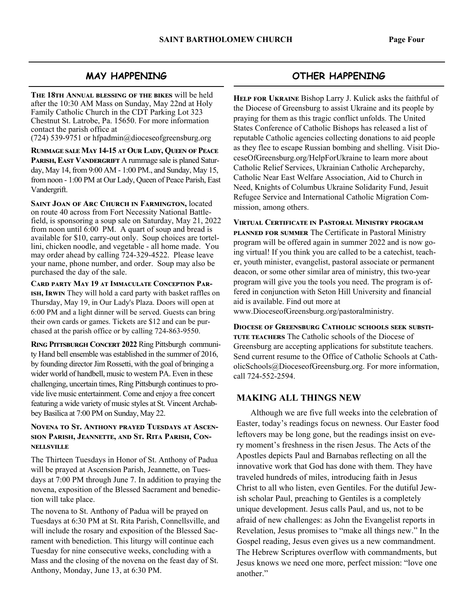# **MAY HAPPENING**

THE 18TH ANNUAL BLESSING OF THE BIKES will be held after the 10:30 AM Mass on Sunday, May 22nd at Holy Family Catholic Church in the CDT Parking Lot 323 Chestnut St. Latrobe, Pa. 15650. For more information contact the parish office at

(724) 539-9751 or hfpadmin@dioceseofgreensburg.org

**RUMMAGE SALE MAY 14-15 AT OUR LADY, QUEEN OF PEACE** PARISH, EAST VANDERGRIFT A rummage sale is planed Saturday, May 14, from 9:00 AM - 1:00 PM., and Sunday, May 15, from noon - 1:00 PM at Our Lady, Queen of Peace Parish, East Vandergrift.

**SAINT JOAN OF ARC CHURCH IN FARMINGTON, located** on route 40 across from Fort Necessity National Battlefield, is sponsoring a soup sale on Saturday, May 21, 2022 from noon until 6:00 PM. A quart of soup and bread is available for \$10, carry-out only. Soup choices are tortellini, chicken noodle, and vegetable - all home made. You may order ahead by calling 724-329-4522. Please leave your name, phone number, and order. Soup may also be purchased the day of the sale.

CARD PARTY MAY 19 AT IMMACULATE CONCEPTION PAR-ISH, IRWIN They will hold a card party with basket raffles on Thursday, May 19, in Our Lady's Plaza. Doors will open at 6:00 PM and a light dinner will be served. Guests can bring their own cards or games. Tickets are \$12 and can be purchased at the parish office or by calling 724-863-9550.

**RING PITTSBURGH CONCERT 2022 Ring Pittsburgh communi**ty Hand bell ensemble was established in the summer of 2016, by founding director Jim Rossetti, with the goal of bringing a wider world of handbell, music to western PA. Even in these challenging, uncertain times, Ring Pittsburgh continues to provide live music entertainment. Come and enjoy a free concert featuring a wide variety of music styles at St. Vincent Archabbey Basilica at 7:00 PM on Sunday, May 22.

#### **NOVENA TO ST. ANTHONY PRAYED TUESDAYS AT ASCEN-**SION PARISH, JEANNETTE, AND ST. RITA PARISH, CON-**NELLSVILLE**

The Thirteen Tuesdays in Honor of St. Anthony of Padua will be prayed at Ascension Parish, Jeannette, on Tuesdays at 7:00 PM through June 7. In addition to praying the novena, exposition of the Blessed Sacrament and benediction will take place.

The novena to St. Anthony of Padua will be prayed on Tuesdays at 6:30 PM at St. Rita Parish, Connellsville, and will include the rosary and exposition of the Blessed Sacrament with benediction. This liturgy will continue each Tuesday for nine consecutive weeks, concluding with a Mass and the closing of the novena on the feast day of St. Anthony, Monday, June 13, at 6:30 PM.

# **OTHER HAPPENING**

HELP FOR UKRAINE Bishop Larry J. Kulick asks the faithful of the Diocese of Greensburg to assist Ukraine and its people by praying for them as this tragic conflict unfolds. The United States Conference of Catholic Bishops has released a list of reputable Catholic agencies collecting donations to aid people as they flee to escape Russian bombing and shelling. Visit DioceseOfGreensburg.org/HelpForUkraine to learn more about Catholic Relief Services, Ukrainian Catholic Archeparchy, Catholic Near East Welfare Association, Aid to Church in Need, Knights of Columbus Ukraine Solidarity Fund, Jesuit Refugee Service and International Catholic Migration Commission, among others.

**VIRTUAL CERTIFICATE IN PASTORAL MINISTRY PROGRAM PLANNED FOR SUMMER** The Certificate in Pastoral Ministry program will be offered again in summer 2022 and is now going virtual! If you think you are called to be a catechist, teacher, youth minister, evangelist, pastoral associate or permanent deacon, or some other similar area of ministry, this two-year program will give you the tools you need. The program is offered in conjunction with Seton Hill University and financial aid is available. Find out more at

www.DioceseofGreensburg.org/pastoralministry.

**DIOCESE OF GREENSBURG CATHOLIC SCHOOLS SEEK SUBSTI-**TUTE TEACHERS The Catholic schools of the Diocese of Greensburg are accepting applications for substitute teachers. Send current resume to the Office of Catholic Schools at CatholicSchools@DioceseofGreensburg.org. For more information, call 724-552-2594.

### **MAKING ALL THINGS NEW**

 Although we are five full weeks into the celebration of Easter, today's readings focus on newness. Our Easter food leftovers may be long gone, but the readings insist on every moment's freshness in the risen Jesus. The Acts of the Apostles depicts Paul and Barnabas reflecting on all the innovative work that God has done with them. They have traveled hundreds of miles, introducing faith in Jesus Christ to all who listen, even Gentiles. For the dutiful Jewish scholar Paul, preaching to Gentiles is a completely unique development. Jesus calls Paul, and us, not to be afraid of new challenges: as John the Evangelist reports in Revelation, Jesus promises to "make all things new." In the Gospel reading, Jesus even gives us a new commandment. The Hebrew Scriptures overflow with commandments, but Jesus knows we need one more, perfect mission: "love one another."